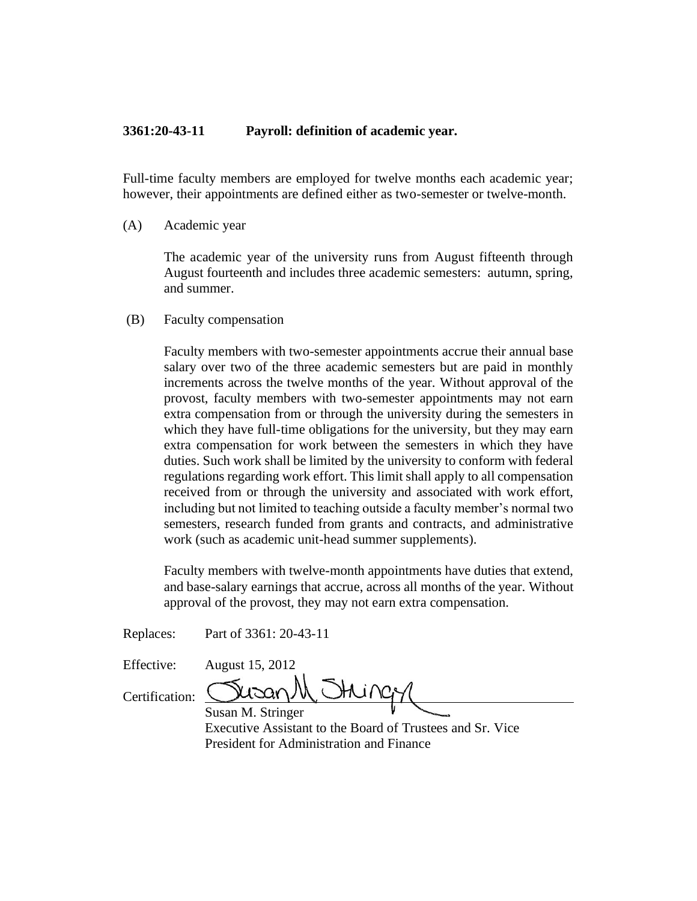## **3361:20-43-11 Payroll: definition of academic year.**

Full-time faculty members are employed for twelve months each academic year; however, their appointments are defined either as two-semester or twelve-month.

(A) Academic year

The academic year of the university runs from August fifteenth through August fourteenth and includes three academic semesters: autumn, spring, and summer.

(B) Faculty compensation

Faculty members with two-semester appointments accrue their annual base salary over two of the three academic semesters but are paid in monthly increments across the twelve months of the year. Without approval of the provost, faculty members with two-semester appointments may not earn extra compensation from or through the university during the semesters in which they have full-time obligations for the university, but they may earn extra compensation for work between the semesters in which they have duties. Such work shall be limited by the university to conform with federal regulations regarding work effort. This limit shall apply to all compensation received from or through the university and associated with work effort, including but not limited to teaching outside a faculty member's normal two semesters, research funded from grants and contracts, and administrative work (such as academic unit-head summer supplements).

Faculty members with twelve-month appointments have duties that extend, and base-salary earnings that accrue, across all months of the year. Without approval of the provost, they may not earn extra compensation.

Replaces: Part of 3361: 20-43-11

Effective: August 15, 2012  $\chi_1$   $\sim$   $\sim$ 

Certification:

Susan M. Stringer Executive Assistant to the Board of Trustees and Sr. Vice President for Administration and Finance